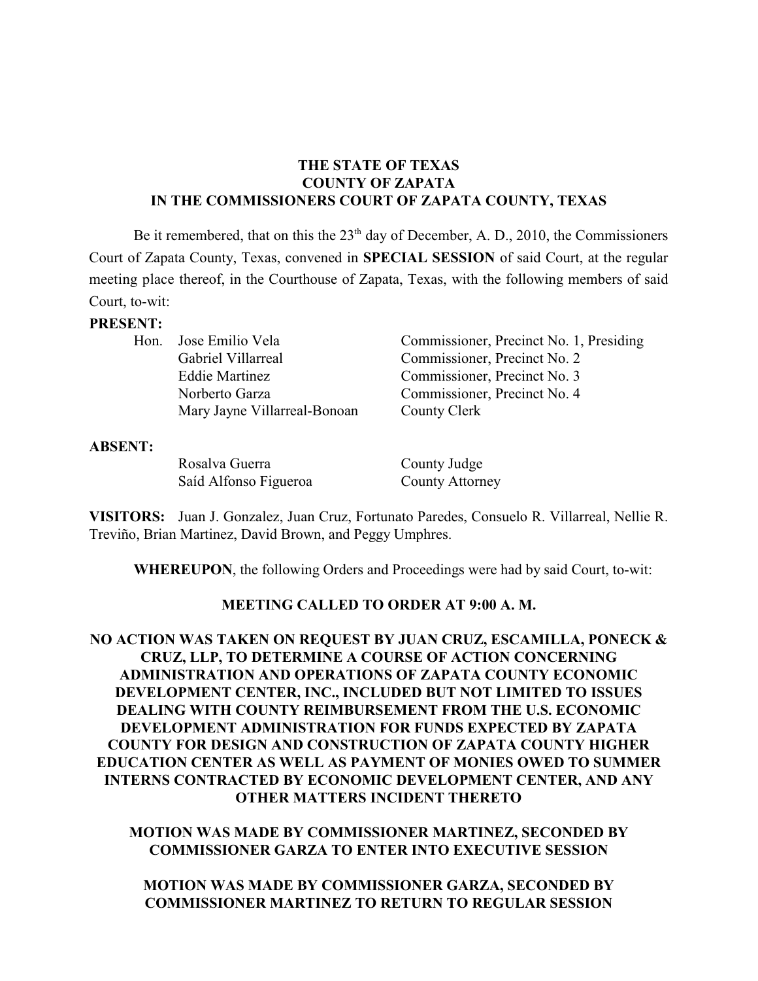### **THE STATE OF TEXAS COUNTY OF ZAPATA IN THE COMMISSIONERS COURT OF ZAPATA COUNTY, TEXAS**

Be it remembered, that on this the  $23<sup>th</sup>$  day of December, A. D., 2010, the Commissioners Court of Zapata County, Texas, convened in **SPECIAL SESSION** of said Court, at the regular meeting place thereof, in the Courthouse of Zapata, Texas, with the following members of said Court, to-wit:

#### **PRESENT:**

| Hon. Jose Emilio Vela        | Commissioner, Precinct No. 1, Presiding |
|------------------------------|-----------------------------------------|
| Gabriel Villarreal           | Commissioner, Precinct No. 2            |
| <b>Eddie Martinez</b>        | Commissioner, Precinct No. 3            |
| Norberto Garza               | Commissioner, Precinct No. 4            |
| Mary Jayne Villarreal-Bonoan | County Clerk                            |

#### **ABSENT:**

Rosalva Guerra County Judge Saíd Alfonso Figueroa County Attorney

**VISITORS:** Juan J. Gonzalez, Juan Cruz, Fortunato Paredes, Consuelo R. Villarreal, Nellie R. Treviño, Brian Martinez, David Brown, and Peggy Umphres.

**WHEREUPON**, the following Orders and Proceedings were had by said Court, to-wit:

#### **MEETING CALLED TO ORDER AT 9:00 A. M.**

## **NO ACTION WAS TAKEN ON REQUEST BY JUAN CRUZ, ESCAMILLA, PONECK & CRUZ, LLP, TO DETERMINE A COURSE OF ACTION CONCERNING ADMINISTRATION AND OPERATIONS OF ZAPATA COUNTY ECONOMIC DEVELOPMENT CENTER, INC., INCLUDED BUT NOT LIMITED TO ISSUES DEALING WITH COUNTY REIMBURSEMENT FROM THE U.S. ECONOMIC DEVELOPMENT ADMINISTRATION FOR FUNDS EXPECTED BY ZAPATA COUNTY FOR DESIGN AND CONSTRUCTION OF ZAPATA COUNTY HIGHER EDUCATION CENTER AS WELL AS PAYMENT OF MONIES OWED TO SUMMER INTERNS CONTRACTED BY ECONOMIC DEVELOPMENT CENTER, AND ANY OTHER MATTERS INCIDENT THERETO**

**MOTION WAS MADE BY COMMISSIONER MARTINEZ, SECONDED BY COMMISSIONER GARZA TO ENTER INTO EXECUTIVE SESSION**

**MOTION WAS MADE BY COMMISSIONER GARZA, SECONDED BY COMMISSIONER MARTINEZ TO RETURN TO REGULAR SESSION**